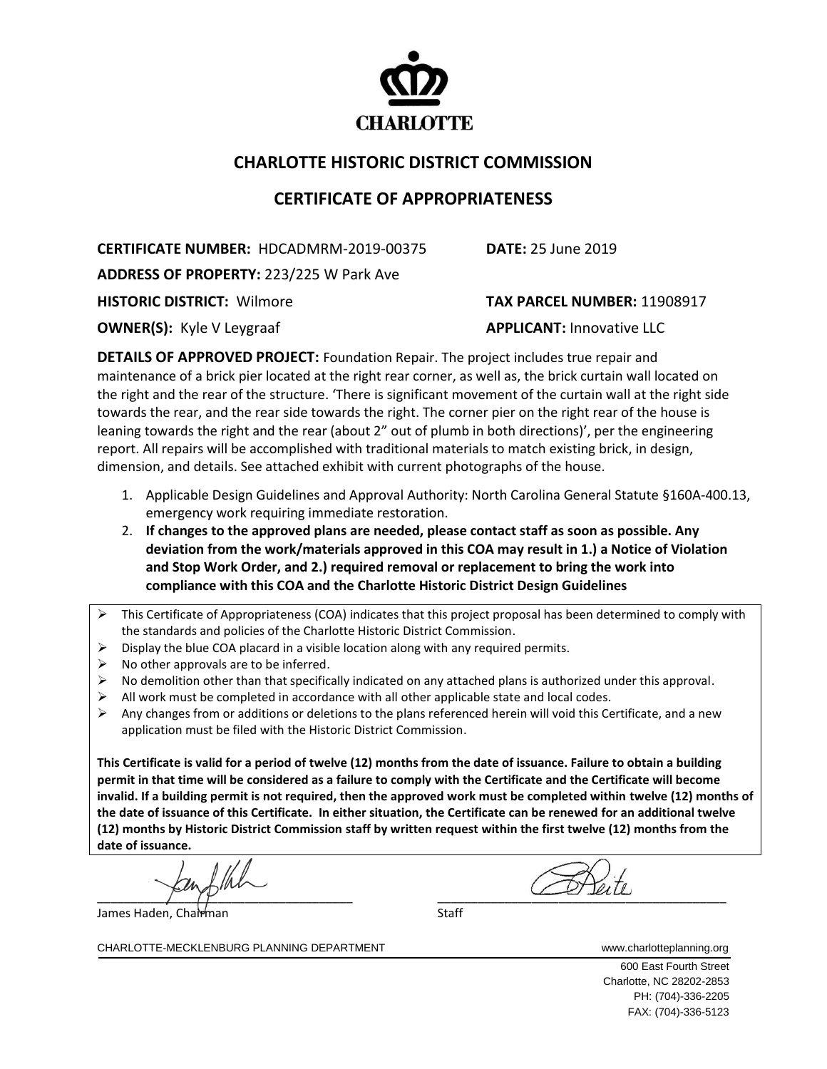

## **CHARLOTTE HISTORIC DISTRICT COMMISSION**

## **CERTIFICATE OF APPROPRIATENESS**

**CERTIFICATE NUMBER:** HDCADMRM-2019-00375 **DATE:** 25 June 2019

**ADDRESS OF PROPERTY:** 223/225 W Park Ave

**OWNER(S):** Kyle V Leygraaf **APPLICANT:** Innovative LLC

**HISTORIC DISTRICT:** Wilmore **TAX PARCEL NUMBER:** 11908917

**DETAILS OF APPROVED PROJECT:** Foundation Repair. The project includes true repair and maintenance of a brick pier located at the right rear corner, as well as, the brick curtain wall located on the right and the rear of the structure. 'There is significant movement of the curtain wall at the right side towards the rear, and the rear side towards the right. The corner pier on the right rear of the house is leaning towards the right and the rear (about 2" out of plumb in both directions)', per the engineering report. All repairs will be accomplished with traditional materials to match existing brick, in design, dimension, and details. See attached exhibit with current photographs of the house.

- 1. Applicable Design Guidelines and Approval Authority: North Carolina General Statute §160A-400.13, emergency work requiring immediate restoration.
- 2. **If changes to the approved plans are needed, please contact staff as soon as possible. Any deviation from the work/materials approved in this COA may result in 1.) a Notice of Violation and Stop Work Order, and 2.) required removal or replacement to bring the work into compliance with this COA and the Charlotte Historic District Design Guidelines**
- ➢ This Certificate of Appropriateness (COA) indicates that this project proposal has been determined to comply with the standards and policies of the Charlotte Historic District Commission.
- $\triangleright$  Display the blue COA placard in a visible location along with any required permits.
- $\triangleright$  No other approvals are to be inferred.
- ➢ No demolition other than that specifically indicated on any attached plans is authorized under this approval.
- $\triangleright$  All work must be completed in accordance with all other applicable state and local codes.
- $\triangleright$  Any changes from or additions or deletions to the plans referenced herein will void this Certificate, and a new application must be filed with the Historic District Commission.

**This Certificate is valid for a period of twelve (12) months from the date of issuance. Failure to obtain a building permit in that time will be considered as a failure to comply with the Certificate and the Certificate will become invalid. If a building permit is not required, then the approved work must be completed within twelve (12) months of the date of issuance of this Certificate. In either situation, the Certificate can be renewed for an additional twelve (12) months by Historic District Commission staff by written request within the first twelve (12) months from the date of issuance.**

 $\frac{1}{\sqrt{2}}$  ,  $\frac{1}{\sqrt{2}}$  ,  $\frac{1}{\sqrt{2}}$  ,  $\frac{1}{\sqrt{2}}$  ,  $\frac{1}{\sqrt{2}}$  ,  $\frac{1}{\sqrt{2}}$  ,  $\frac{1}{\sqrt{2}}$  ,  $\frac{1}{\sqrt{2}}$  ,  $\frac{1}{\sqrt{2}}$  ,  $\frac{1}{\sqrt{2}}$  ,  $\frac{1}{\sqrt{2}}$  ,  $\frac{1}{\sqrt{2}}$  ,  $\frac{1}{\sqrt{2}}$  ,  $\frac{1}{\sqrt{2}}$  ,  $\frac{1}{\sqrt{2}}$ 

James Haden, Chairman Staff Staff Staff Staff Staff Staff Staff Staff Staff Staff Staff Staff Staff Staff Staff Staff Staff Staff Staff Staff Staff Staff Staff Staff Staff Staff Staff Staff Staff Staff Staff Staff Staff St

CHARLOTTE-MECKLENBURG PLANNING DEPARTMENT www.charlotteplanning.org

600 East Fourth Street Charlotte, NC 28202-2853 PH: (704)-336-2205 FAX: (704)-336-5123